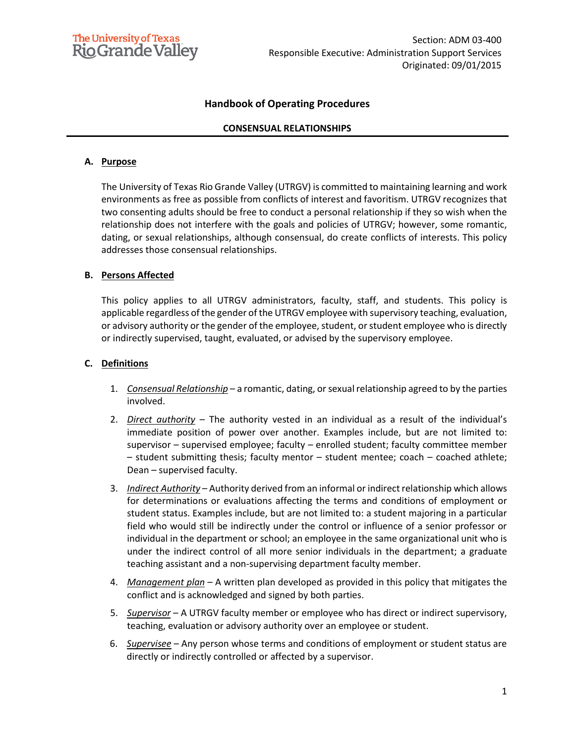

## **Handbook of Operating Procedures**

### **CONSENSUAL RELATIONSHIPS**

### **A. Purpose**

The University of Texas Rio Grande Valley (UTRGV) is committed to maintaining learning and work environments as free as possible from conflicts of interest and favoritism. UTRGV recognizes that two consenting adults should be free to conduct a personal relationship if they so wish when the relationship does not interfere with the goals and policies of UTRGV; however, some romantic, dating, or sexual relationships, although consensual, do create conflicts of interests. This policy addresses those consensual relationships.

#### **B. Persons Affected**

This policy applies to all UTRGV administrators, faculty, staff, and students. This policy is applicable regardless of the gender of the UTRGV employee with supervisory teaching, evaluation, or advisory authority or the gender of the employee, student, or student employee who is directly or indirectly supervised, taught, evaluated, or advised by the supervisory employee.

#### **C. Definitions**

- 1. *Consensual Relationship* a romantic, dating, or sexual relationship agreed to by the parties involved.
- 2. *Direct authority* The authority vested in an individual as a result of the individual's immediate position of power over another. Examples include, but are not limited to: supervisor – supervised employee; faculty – enrolled student; faculty committee member – student submitting thesis; faculty mentor – student mentee; coach – coached athlete; Dean – supervised faculty.
- 3. *Indirect Authority* Authority derived from an informal or indirect relationship which allows for determinations or evaluations affecting the terms and conditions of employment or student status. Examples include, but are not limited to: a student majoring in a particular field who would still be indirectly under the control or influence of a senior professor or individual in the department or school; an employee in the same organizational unit who is under the indirect control of all more senior individuals in the department; a graduate teaching assistant and a non-supervising department faculty member.
- 4. *Management plan* A written plan developed as provided in this policy that mitigates the conflict and is acknowledged and signed by both parties.
- 5. *Supervisor* A UTRGV faculty member or employee who has direct or indirect supervisory, teaching, evaluation or advisory authority over an employee or student.
- 6. *Supervisee* Any person whose terms and conditions of employment or student status are directly or indirectly controlled or affected by a supervisor.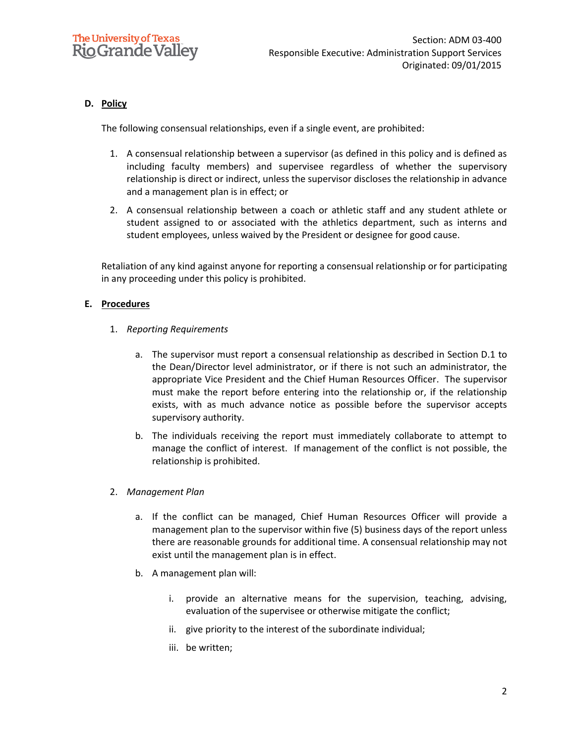## **D. Policy**

The following consensual relationships, even if a single event, are prohibited:

- 1. A consensual relationship between a supervisor (as defined in this policy and is defined as including faculty members) and supervisee regardless of whether the supervisory relationship is direct or indirect, unless the supervisor discloses the relationship in advance and a management plan is in effect; or
- 2. A consensual relationship between a coach or athletic staff and any student athlete or student assigned to or associated with the athletics department, such as interns and student employees, unless waived by the President or designee for good cause.

Retaliation of any kind against anyone for reporting a consensual relationship or for participating in any proceeding under this policy is prohibited.

## **E. Procedures**

- 1. *Reporting Requirements*
	- a. The supervisor must report a consensual relationship as described in Section D.1 to the Dean/Director level administrator, or if there is not such an administrator, the appropriate Vice President and the Chief Human Resources Officer. The supervisor must make the report before entering into the relationship or, if the relationship exists, with as much advance notice as possible before the supervisor accepts supervisory authority.
	- b. The individuals receiving the report must immediately collaborate to attempt to manage the conflict of interest. If management of the conflict is not possible, the relationship is prohibited.
- 2. *Management Plan*
	- a. If the conflict can be managed, Chief Human Resources Officer will provide a management plan to the supervisor within five (5) business days of the report unless there are reasonable grounds for additional time. A consensual relationship may not exist until the management plan is in effect.
	- b. A management plan will:
		- i. provide an alternative means for the supervision, teaching, advising, evaluation of the supervisee or otherwise mitigate the conflict;
		- ii. give priority to the interest of the subordinate individual;
		- iii. be written;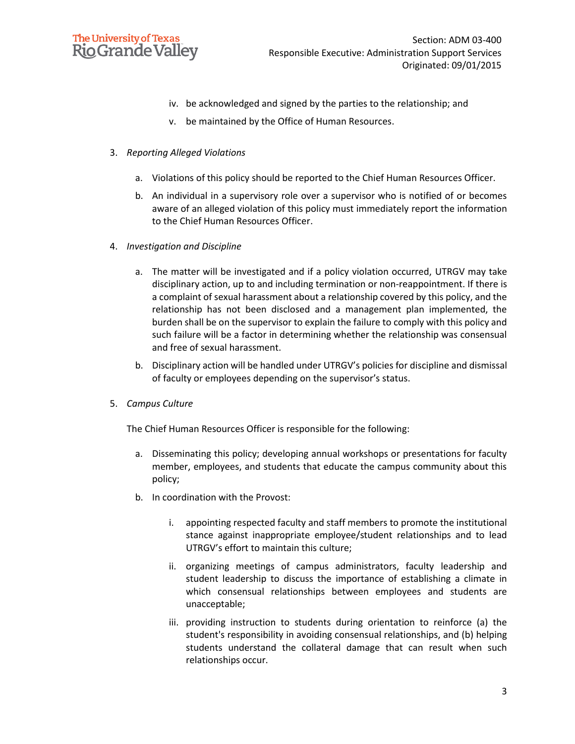

- iv. be acknowledged and signed by the parties to the relationship; and
- v. be maintained by the Office of Human Resources.
- 3. *Reporting Alleged Violations*
	- a. Violations of this policy should be reported to the Chief Human Resources Officer.
	- b. An individual in a supervisory role over a supervisor who is notified of or becomes aware of an alleged violation of this policy must immediately report the information to the Chief Human Resources Officer.
- 4. *Investigation and Discipline*
	- a. The matter will be investigated and if a policy violation occurred, UTRGV may take disciplinary action, up to and including termination or non-reappointment. If there is a complaint of sexual harassment about a relationship covered by this policy, and the relationship has not been disclosed and a management plan implemented, the burden shall be on the supervisor to explain the failure to comply with this policy and such failure will be a factor in determining whether the relationship was consensual and free of sexual harassment.
	- b. Disciplinary action will be handled under UTRGV's policies for discipline and dismissal of faculty or employees depending on the supervisor's status.
- 5. *Campus Culture*

The Chief Human Resources Officer is responsible for the following:

- a. Disseminating this policy; developing annual workshops or presentations for faculty member, employees, and students that educate the campus community about this policy;
- b. In coordination with the Provost:
	- i. appointing respected faculty and staff members to promote the institutional stance against inappropriate employee/student relationships and to lead UTRGV's effort to maintain this culture;
	- ii. organizing meetings of campus administrators, faculty leadership and student leadership to discuss the importance of establishing a climate in which consensual relationships between employees and students are unacceptable;
	- iii. providing instruction to students during orientation to reinforce (a) the student's responsibility in avoiding consensual relationships, and (b) helping students understand the collateral damage that can result when such relationships occur.